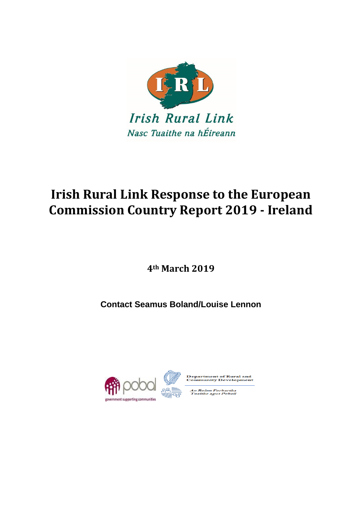

# **Irish Rural Link Response to the European Commission Country Report 2019 - Ireland**

**4th March 2019**

**Contact Seamus Boland/Louise Lennon**





artment of Rural and<br>amunity Development

n Roinn Forbartha<br>Tuaithe agus Pobail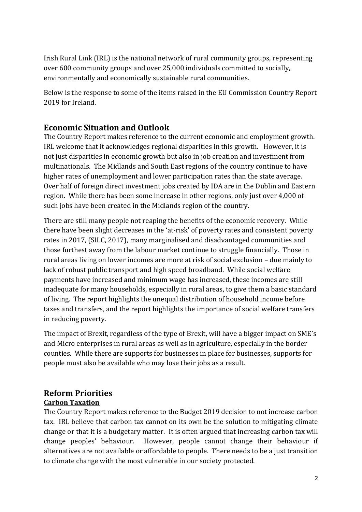Irish Rural Link (IRL) is the national network of rural community groups, representing over 600 community groups and over 25,000 individuals committed to socially, environmentally and economically sustainable rural communities.

Below is the response to some of the items raised in the EU Commission Country Report 2019 for Ireland.

## **Economic Situation and Outlook**

The Country Report makes reference to the current economic and employment growth. IRL welcome that it acknowledges regional disparities in this growth. However, it is not just disparities in economic growth but also in job creation and investment from multinationals. The Midlands and South East regions of the country continue to have higher rates of unemployment and lower participation rates than the state average. Over half of foreign direct investment jobs created by IDA are in the Dublin and Eastern region. While there has been some increase in other regions, only just over 4,000 of such jobs have been created in the Midlands region of the country.

There are still many people not reaping the benefits of the economic recovery. While there have been slight decreases in the 'at-risk' of poverty rates and consistent poverty rates in 2017, (SILC, 2017), many marginalised and disadvantaged communities and those furthest away from the labour market continue to struggle financially. Those in rural areas living on lower incomes are more at risk of social exclusion – due mainly to lack of robust public transport and high speed broadband. While social welfare payments have increased and minimum wage has increased, these incomes are still inadequate for many households, especially in rural areas, to give them a basic standard of living. The report highlights the unequal distribution of household income before taxes and transfers, and the report highlights the importance of social welfare transfers in reducing poverty.

The impact of Brexit, regardless of the type of Brexit, will have a bigger impact on SME's and Micro enterprises in rural areas as well as in agriculture, especially in the border counties. While there are supports for businesses in place for businesses, supports for people must also be available who may lose their jobs as a result.

## **Reform Priorities**

#### **Carbon Taxation**

The Country Report makes reference to the Budget 2019 decision to not increase carbon tax. IRL believe that carbon tax cannot on its own be the solution to mitigating climate change or that it is a budgetary matter. It is often argued that increasing carbon tax will change peoples' behaviour. However, people cannot change their behaviour if alternatives are not available or affordable to people. There needs to be a just transition to climate change with the most vulnerable in our society protected.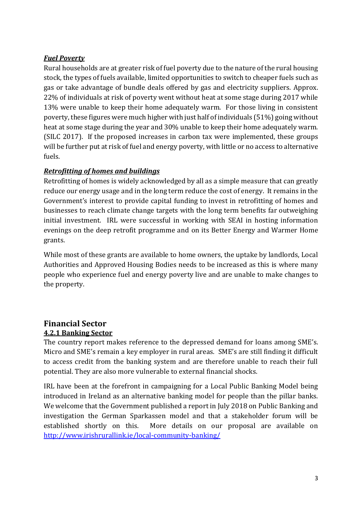#### *Fuel Poverty*

Rural households are at greater risk of fuel poverty due to the nature of the rural housing stock, the types of fuels available, limited opportunities to switch to cheaper fuels such as gas or take advantage of bundle deals offered by gas and electricity suppliers. Approx. 22% of individuals at risk of poverty went without heat at some stage during 2017 while 13% were unable to keep their home adequately warm. For those living in consistent poverty, these figures were much higher with just half of individuals (51%) going without heat at some stage during the year and 30% unable to keep their home adequately warm. (SILC 2017). If the proposed increases in carbon tax were implemented, these groups will be further put at risk of fuel and energy poverty, with little or no access to alternative fuels.

## *Retrofitting of homes and buildings*

Retrofitting of homes is widely acknowledged by all as a simple measure that can greatly reduce our energy usage and in the long term reduce the cost of energy. It remains in the Government's interest to provide capital funding to invest in retrofitting of homes and businesses to reach climate change targets with the long term benefits far outweighing initial investment. IRL were successful in working with SEAI in hosting information evenings on the deep retrofit programme and on its Better Energy and Warmer Home grants.

While most of these grants are available to home owners, the uptake by landlords, Local Authorities and Approved Housing Bodies needs to be increased as this is where many people who experience fuel and energy poverty live and are unable to make changes to the property.

## **Financial Sector 4.2.1 Banking Sector**

The country report makes reference to the depressed demand for loans among SME's. Micro and SME's remain a key employer in rural areas. SME's are still finding it difficult to access credit from the banking system and are therefore unable to reach their full potential. They are also more vulnerable to external financial shocks.

IRL have been at the forefront in campaigning for a Local Public Banking Model being introduced in Ireland as an alternative banking model for people than the pillar banks. We welcome that the Government published a report in July 2018 on Public Banking and investigation the German Sparkassen model and that a stakeholder forum will be established shortly on this. More details on our proposal are available on <http://www.irishrurallink.ie/local-community-banking/>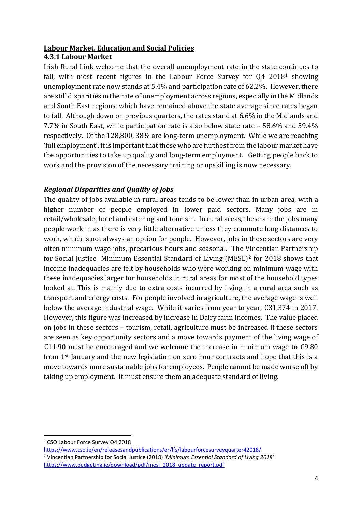## **Labour Market, Education and Social Policies**

#### **4.3.1 Labour Market**

Irish Rural Link welcome that the overall unemployment rate in the state continues to fall, with most recent figures in the Labour Force Survey for Q4 2018<sup>1</sup> showing unemployment rate now stands at 5.4% and participation rate of 62.2%. However, there are still disparities in the rate of unemployment across regions, especially in the Midlands and South East regions, which have remained above the state average since rates began to fall. Although down on previous quarters, the rates stand at 6.6% in the Midlands and 7.7% in South East, while participation rate is also below state rate – 58.6% and 59.4% respectively. Of the 128,800, 38% are long-term unemployment. While we are reaching 'full employment', it is important that those who are furthest from the labour market have the opportunities to take up quality and long-term employment. Getting people back to work and the provision of the necessary training or upskilling is now necessary.

## *Regional Disparities and Quality of Jobs*

The quality of jobs available in rural areas tends to be lower than in urban area, with a higher number of people employed in lower paid sectors. Many jobs are in retail/wholesale, hotel and catering and tourism. In rural areas, these are the jobs many people work in as there is very little alternative unless they commute long distances to work, which is not always an option for people. However, jobs in these sectors are very often minimum wage jobs, precarious hours and seasonal. The Vincentian Partnership for Social Justice Minimum Essential Standard of Living (MESL)<sup>2</sup> for 2018 shows that income inadequacies are felt by households who were working on minimum wage with these inadequacies larger for households in rural areas for most of the household types looked at. This is mainly due to extra costs incurred by living in a rural area such as transport and energy costs. For people involved in agriculture, the average wage is well below the average industrial wage. While it varies from year to year, €31,374 in 2017. However, this figure was increased by increase in Dairy farm incomes. The value placed on jobs in these sectors – tourism, retail, agriculture must be increased if these sectors are seen as key opportunity sectors and a move towards payment of the living wage of €11.90 must be encouraged and we welcome the increase in minimum wage to  $€9.80$ from 1st January and the new legislation on zero hour contracts and hope that this is a move towards more sustainable jobs for employees. People cannot be made worse off by taking up employment. It must ensure them an adequate standard of living.

1

<sup>&</sup>lt;sup>1</sup> CSO Labour Force Survey Q4 2018

<https://www.cso.ie/en/releasesandpublications/er/lfs/labourforcesurveyquarter42018/> <sup>2</sup> Vincentian Partnership for Social Justice (2018) *'Minimum Essential Standard of Living 2018'* [https://www.budgeting.ie/download/pdf/mesl\\_2018\\_update\\_report.pdf](https://www.budgeting.ie/download/pdf/mesl_2018_update_report.pdf)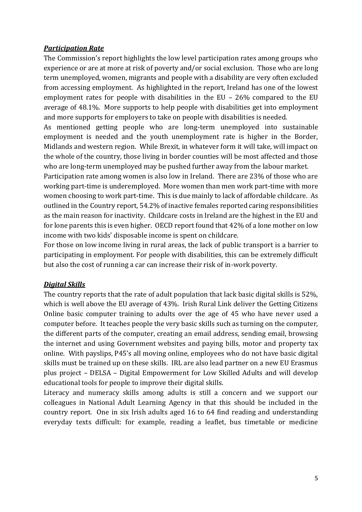#### *Participation Rate*

The Commission's report highlights the low level participation rates among groups who experience or are at more at risk of poverty and/or social exclusion. Those who are long term unemployed, women, migrants and people with a disability are very often excluded from accessing employment. As highlighted in the report, Ireland has one of the lowest employment rates for people with disabilities in the EU – 26% compared to the EU average of 48.1%. More supports to help people with disabilities get into employment and more supports for employers to take on people with disabilities is needed.

As mentioned getting people who are long-term unemployed into sustainable employment is needed and the youth unemployment rate is higher in the Border, Midlands and western region. While Brexit, in whatever form it will take, will impact on the whole of the country, those living in border counties will be most affected and those who are long-term unemployed may be pushed further away from the labour market.

Participation rate among women is also low in Ireland. There are 23% of those who are working part-time is underemployed. More women than men work part-time with more women choosing to work part-time. This is due mainly to lack of affordable childcare. As outlined in the Country report, 54.2% of inactive females reported caring responsibilities as the main reason for inactivity. Childcare costs in Ireland are the highest in the EU and for lone parents this is even higher. OECD report found that 42% of a lone mother on low income with two kids' disposable income is spent on childcare.

For those on low income living in rural areas, the lack of public transport is a barrier to participating in employment. For people with disabilities, this can be extremely difficult but also the cost of running a car can increase their risk of in-work poverty.

#### *Digital Skills*

The country reports that the rate of adult population that lack basic digital skills is 52%, which is well above the EU average of 43%. Irish Rural Link deliver the Getting Citizens Online basic computer training to adults over the age of 45 who have never used a computer before. It teaches people the very basic skills such as turning on the computer, the different parts of the computer, creating an email address, sending email, browsing the internet and using Government websites and paying bills, motor and property tax online. With payslips, P45's all moving online, employees who do not have basic digital skills must be trained up on these skills. IRL are also lead partner on a new EU Erasmus plus project – DELSA – Digital Empowerment for Low Skilled Adults and will develop educational tools for people to improve their digital skills.

Literacy and numeracy skills among adults is still a concern and we support our colleagues in National Adult Learning Agency in that this should be included in the country report. One in six Irish adults aged 16 to 64 find reading and understanding everyday texts difficult: for example, reading a leaflet, bus timetable or medicine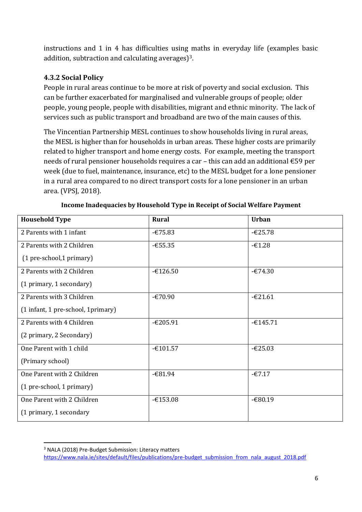instructions and 1 in 4 has difficulties using maths in everyday life (examples basic addition, subtraction and calculating averages)3.

## **4.3.2 Social Policy**

People in rural areas continue to be more at risk of poverty and social exclusion. This can be further exacerbated for marginalised and vulnerable groups of people; older people, young people, people with disabilities, migrant and ethnic minority. The lack of services such as public transport and broadband are two of the main causes of this.

The Vincentian Partnership MESL continues to show households living in rural areas, the MESL is higher than for households in urban areas. These higher costs are primarily related to higher transport and home energy costs. For example, meeting the transport needs of rural pensioner households requires a car – this can add an additional €59 per week (due to fuel, maintenance, insurance, etc) to the MESL budget for a lone pensioner in a rural area compared to no direct transport costs for a lone pensioner in an urban area. (VPSJ, 2018).

| <b>Household Type</b>               | <b>Rural</b> | <b>Urban</b> |
|-------------------------------------|--------------|--------------|
| 2 Parents with 1 infant             | $-675.83$    | $-625.78$    |
| 2 Parents with 2 Children           | $-655.35$    | $-61.28$     |
| (1 pre-school,1 primary)            |              |              |
| 2 Parents with 2 Children           | $-£126.50$   | $-674.30$    |
| (1 primary, 1 secondary)            |              |              |
| 2 Parents with 3 Children           | $-670.90$    | $-621.61$    |
| (1 infant, 1 pre-school, 1 primary) |              |              |
| 2 Parents with 4 Children           | $-£205.91$   | $-£145.71$   |
| (2 primary, 2 Secondary)            |              |              |
| One Parent with 1 child             | $-£101.57$   | $-625.03$    |
| (Primary school)                    |              |              |
| One Parent with 2 Children          | $-681.94$    | $-67.17$     |
| (1 pre-school, 1 primary)           |              |              |
| One Parent with 2 Children          | $-£153.08$   | $-680.19$    |
| (1 primary, 1 secondary             |              |              |

**Income Inadequacies by Household Type in Receipt of Social Welfare Payment**

**<sup>.</sup>** <sup>3</sup> NALA (2018) Pre-Budget Submission: Literacy matters

[https://www.nala.ie/sites/default/files/publications/pre-budget\\_submission\\_from\\_nala\\_august\\_2018.pdf](https://www.nala.ie/sites/default/files/publications/pre-budget_submission_from_nala_august_2018.pdf)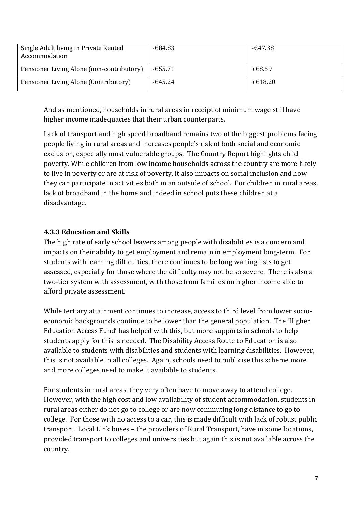| Single Adult living in Private Rented<br>Accommodation | $-684.83$ | -€47.38 |
|--------------------------------------------------------|-----------|---------|
| Pensioner Living Alone (non-contributory)              | $-655.71$ | +€8.59  |
| Pensioner Living Alone (Contributory)                  | $-645.24$ | +€18.20 |

And as mentioned, households in rural areas in receipt of minimum wage still have higher income inadequacies that their urban counterparts.

Lack of transport and high speed broadband remains two of the biggest problems facing people living in rural areas and increases people's risk of both social and economic exclusion, especially most vulnerable groups. The Country Report highlights child poverty. While children from low income households across the country are more likely to live in poverty or are at risk of poverty, it also impacts on social inclusion and how they can participate in activities both in an outside of school. For children in rural areas, lack of broadband in the home and indeed in school puts these children at a disadvantage.

#### **4.3.3 Education and Skills**

The high rate of early school leavers among people with disabilities is a concern and impacts on their ability to get employment and remain in employment long-term. For students with learning difficulties, there continues to be long waiting lists to get assessed, especially for those where the difficulty may not be so severe. There is also a two-tier system with assessment, with those from families on higher income able to afford private assessment.

While tertiary attainment continues to increase, access to third level from lower socioeconomic backgrounds continue to be lower than the general population. The 'Higher Education Access Fund' has helped with this, but more supports in schools to help students apply for this is needed. The Disability Access Route to Education is also available to students with disabilities and students with learning disabilities. However, this is not available in all colleges. Again, schools need to publicise this scheme more and more colleges need to make it available to students.

For students in rural areas, they very often have to move away to attend college. However, with the high cost and low availability of student accommodation, students in rural areas either do not go to college or are now commuting long distance to go to college. For those with no access to a car, this is made difficult with lack of robust public transport. Local Link buses – the providers of Rural Transport, have in some locations, provided transport to colleges and universities but again this is not available across the country.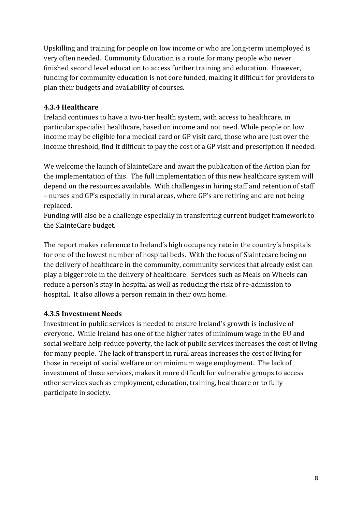Upskilling and training for people on low income or who are long-term unemployed is very often needed. Community Education is a route for many people who never finished second level education to access further training and education. However, funding for community education is not core funded, making it difficult for providers to plan their budgets and availability of courses.

## **4.3.4 Healthcare**

Ireland continues to have a two-tier health system, with access to healthcare, in particular specialist healthcare, based on income and not need. While people on low income may be eligible for a medical card or GP visit card, those who are just over the income threshold, find it difficult to pay the cost of a GP visit and prescription if needed.

We welcome the launch of SlainteCare and await the publication of the Action plan for the implementation of this. The full implementation of this new healthcare system will depend on the resources available. With challenges in hiring staff and retention of staff – nurses and GP's especially in rural areas, where GP's are retiring and are not being replaced.

Funding will also be a challenge especially in transferring current budget framework to the SlainteCare budget.

The report makes reference to Ireland's high occupancy rate in the country's hospitals for one of the lowest number of hospital beds. With the focus of Slaintecare being on the delivery of healthcare in the community, community services that already exist can play a bigger role in the delivery of healthcare. Services such as Meals on Wheels can reduce a person's stay in hospital as well as reducing the risk of re-admission to hospital. It also allows a person remain in their own home.

#### **4.3.5 Investment Needs**

Investment in public services is needed to ensure Ireland's growth is inclusive of everyone. While Ireland has one of the higher rates of minimum wage in the EU and social welfare help reduce poverty, the lack of public services increases the cost of living for many people. The lack of transport in rural areas increases the cost of living for those in receipt of social welfare or on minimum wage employment. The lack of investment of these services, makes it more difficult for vulnerable groups to access other services such as employment, education, training, healthcare or to fully participate in society.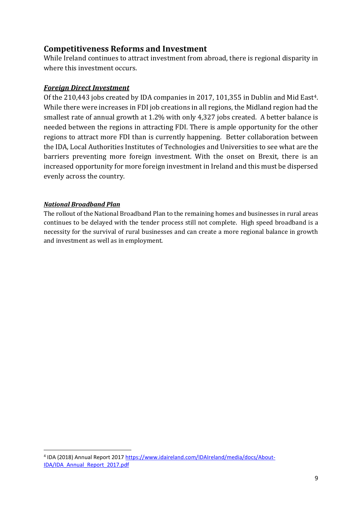## **Competitiveness Reforms and Investment**

While Ireland continues to attract investment from abroad, there is regional disparity in where this investment occurs.

## *Foreign Direct Investment*

Of the 210,443 jobs created by IDA companies in 2017, 101,355 in Dublin and Mid East<sup>4</sup>. While there were increases in FDI job creations in all regions, the Midland region had the smallest rate of annual growth at 1.2% with only 4,327 jobs created. A better balance is needed between the regions in attracting FDI. There is ample opportunity for the other regions to attract more FDI than is currently happening. Better collaboration between the IDA, Local Authorities Institutes of Technologies and Universities to see what are the barriers preventing more foreign investment. With the onset on Brexit, there is an increased opportunity for more foreign investment in Ireland and this must be dispersed evenly across the country.

#### *National Broadband Plan*

The rollout of the National Broadband Plan to the remaining homes and businesses in rural areas continues to be delayed with the tender process still not complete. High speed broadband is a necessity for the survival of rural businesses and can create a more regional balance in growth and investment as well as in employment.

<sup>1</sup> <sup>4</sup> IDA (2018) Annual Report 2017 [https://www.idaireland.com/IDAIreland/media/docs/About-](https://www.idaireland.com/IDAIreland/media/docs/About-IDA/IDA_Annual_Report_2017.pdf)[IDA/IDA\\_Annual\\_Report\\_2017.pdf](https://www.idaireland.com/IDAIreland/media/docs/About-IDA/IDA_Annual_Report_2017.pdf)